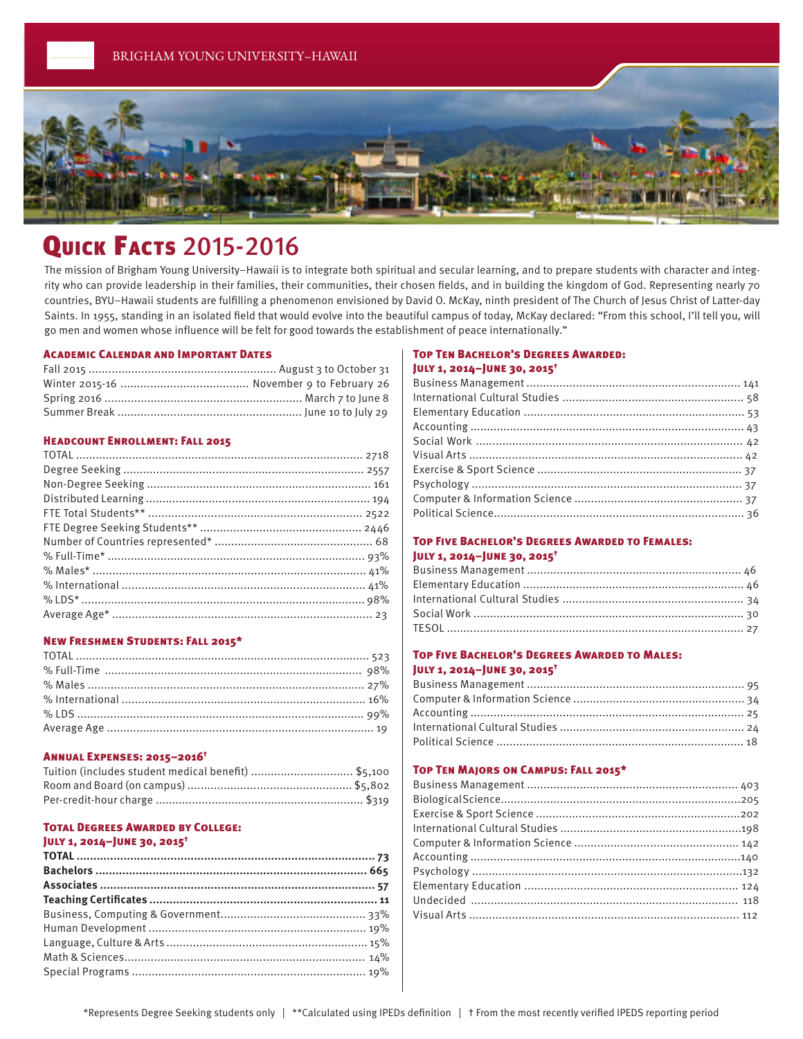

# **QUICK FACTS 2015-2016**

The mission of Brigham Young University–Hawaii is to integrate both spiritual and secular learning, and to prepare students with character and integrity who can provide leadership in their families, their communities, their chosen fields, and in building the kingdom of God. Representing nearly 70 countries, BYU–Hawaii students are fulfilling a phenomenon envisioned by David O. McKay, ninth president of The Church of Jesus Christ of Latter-day Saints. In 1955, standing in an isolated field that would evolve into the beautiful campus of today, McKay declared: "From this school, I'll tell you, will go men and women whose influence will be felt for good towards the establishment of peace internationally."

#### Academic Calendar and Important Dates

#### Headcount Enrollment: Fall 2015

# New Freshmen Students: Fall 2015\*

#### Annual Expenses: 2015–2016†

| Tuition (includes student medical benefit) \$5,100 |  |
|----------------------------------------------------|--|
|                                                    |  |
|                                                    |  |

#### Total Degrees Awarded by College:

# July 1, 2014–June 30, 2015†

# Top Ten Bachelor's Degrees Awarded:

# July 1, 2014–June 30, 2015†

## Top Five Bachelor's Degrees Awarded to Females: July 1, 2014–June 30, 2015†

# Top Five Bachelor's Degrees Awarded to Males: July 1, 2014–June 30, 2015†

#### Top Ten Majors on Campus: Fall 2015\*